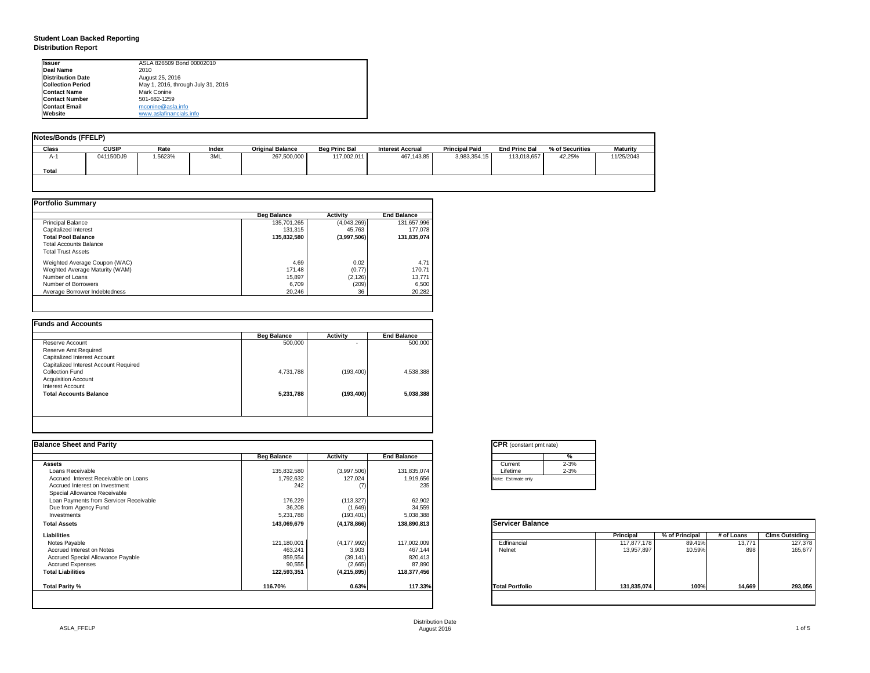| tant pmt rate) |          |  |  |  |  |
|----------------|----------|--|--|--|--|
|                | %        |  |  |  |  |
|                | $2 - 3%$ |  |  |  |  |
|                | $2 - 3%$ |  |  |  |  |
| only           |          |  |  |  |  |
|                |          |  |  |  |  |

| <b>Balance</b> |                  |                |            |                       |
|----------------|------------------|----------------|------------|-----------------------|
|                | <b>Principal</b> | % of Principal | # of Loans | <b>Clms Outstding</b> |
|                | 117,877,178      | 89.41%         | 13,771     | 127,378               |
|                | 13,957,897       | 10.59%         | 898        | 165,677               |
| lio            |                  | 100%           |            |                       |
|                | 131,835,074      |                | 14,669     | 293,056               |
|                |                  |                |            |                       |

## **Student Loan Backed Reporting Distribution Report**

| Notes/Bonds (FFELP) |              |         |       |                         |                      |                         |                       |                      |                 |                 |
|---------------------|--------------|---------|-------|-------------------------|----------------------|-------------------------|-----------------------|----------------------|-----------------|-----------------|
| <b>Class</b>        | <b>CUSIP</b> | Rate    | Index | <b>Original Balance</b> | <b>Beg Princ Bal</b> | <b>Interest Accrual</b> | <b>Principal Paid</b> | <b>End Princ Bal</b> | % of Securities | <b>Maturity</b> |
| A-1                 | 041150DJ9    | 1.5623% | 3ML   | 267,500,000             | 117,002,011          | 467,143.85              | 3,983,354.15          | 113,018,657          | 42.25%          | 11/25/2043      |
| <b>Total</b>        |              |         |       |                         |                      |                         |                       |                      |                 |                 |
|                     |              |         |       |                         |                      |                         |                       |                      |                 |                 |

|                                | <b>Beg Balance</b> | <b>Activity</b> | <b>End Balance</b> |
|--------------------------------|--------------------|-----------------|--------------------|
| <b>Principal Balance</b>       | 135,701,265        | (4,043,269)     | 131,657,996        |
| Capitalized Interest           | 131,315            | 45,763          | 177,078            |
| <b>Total Pool Balance</b>      | 135,832,580        | (3,997,506)     | 131,835,074        |
| <b>Total Accounts Balance</b>  |                    |                 |                    |
| <b>Total Trust Assets</b>      |                    |                 |                    |
| Weighted Average Coupon (WAC)  | 4.69               | 0.02            | 4.71               |
| Weghted Average Maturity (WAM) | 171.48             | (0.77)          | 170.71             |
| Number of Loans                | 15,897             | (2, 126)        | 13,771             |
| Number of Borrowers            | 6,709              | (209)           | 6,500              |
| Average Borrower Indebtedness  | 20,246             | 36              | 20,282             |

| <b>Beg Balance</b> | <b>Activity</b> | <b>End Balance</b> |
|--------------------|-----------------|--------------------|
| 500,000            | ٠               | 500,000            |
|                    |                 |                    |
|                    |                 |                    |
|                    |                 |                    |
| 4,731,788          | (193, 400)      | 4,538,388          |
|                    |                 |                    |
|                    |                 |                    |
| 5,231,788          | (193, 400)      | 5,038,388          |
|                    |                 |                    |
|                    |                 |                    |
|                    |                 |                    |

| <b>Ilssuer</b>            | ASLA 826509 Bond 00002010          |
|---------------------------|------------------------------------|
| <b>IDeal Name</b>         | 2010                               |
| <b>IDistribution Date</b> | August 25, 2016                    |
| <b>Collection Period</b>  | May 1, 2016, through July 31, 2016 |
| <b>IContact Name</b>      | <b>Mark Conine</b>                 |
| <b>IContact Number</b>    | 501-682-1259                       |
| <b>Contact Email</b>      | mconine@asla.info                  |
| <b>IWebsite</b>           | www.aslafinancials.info            |

| <b>Beg Balance</b><br>135,832,580<br>1,792,632 | <b>Activity</b><br>(3,997,506) | <b>End Balance</b> | %<br>$2 - 3%$<br>Current |                  |                |            |                       |
|------------------------------------------------|--------------------------------|--------------------|--------------------------|------------------|----------------|------------|-----------------------|
|                                                |                                |                    |                          |                  |                |            |                       |
|                                                |                                |                    |                          |                  |                |            |                       |
|                                                |                                | 131,835,074        | $2 - 3%$<br>Lifetime     |                  |                |            |                       |
|                                                | 127,024                        | 1,919,656          | Note: Estimate only      |                  |                |            |                       |
| 242                                            |                                | 235                |                          |                  |                |            |                       |
|                                                |                                |                    |                          |                  |                |            |                       |
| 176,229                                        | (113, 327)                     | 62,902             |                          |                  |                |            |                       |
| 36,208                                         | (1,649)                        | 34,559             |                          |                  |                |            |                       |
| 5,231,788                                      | (193, 401)                     | 5,038,388          |                          |                  |                |            |                       |
| 143,069,679                                    | (4, 178, 866)                  | 138,890,813        | <b>Servicer Balance</b>  |                  |                |            |                       |
|                                                |                                |                    |                          | <b>Principal</b> | % of Principal | # of Loans | <b>Clms Outstding</b> |
| 121,180,001                                    | (4, 177, 992)                  | 117,002,009        | Edfinancial              | 117,877,178      | 89.41%         | 13,771     | 127,378               |
| 463,241                                        | 3,903                          | 467,144            | Nelnet                   | 13,957,897       | 10.59%         | 898        | 165,677               |
| 859,554                                        | (39, 141)                      | 820,413            |                          |                  |                |            |                       |
| 90,555                                         | (2,665)                        | 87,890             |                          |                  |                |            |                       |
| 122,593,351                                    | (4, 215, 895)                  | 118,377,456        |                          |                  |                |            |                       |
| 116.70%                                        | 0.63%                          | 117.33%            | <b>Total Portfolio</b>   | 131,835,074      | 100%           | 14,669     | 293,056               |
|                                                |                                |                    |                          |                  |                |            |                       |

|         | CPR (cons      |  |  |  |  |  |  |
|---------|----------------|--|--|--|--|--|--|
|         |                |  |  |  |  |  |  |
| Current |                |  |  |  |  |  |  |
|         | Lifetime       |  |  |  |  |  |  |
|         | Note: Estimate |  |  |  |  |  |  |
|         |                |  |  |  |  |  |  |

| 57<br>ervi<br>œ<br>÷.<br>и | ٠ |
|----------------------------|---|
|                            |   |
|                            |   |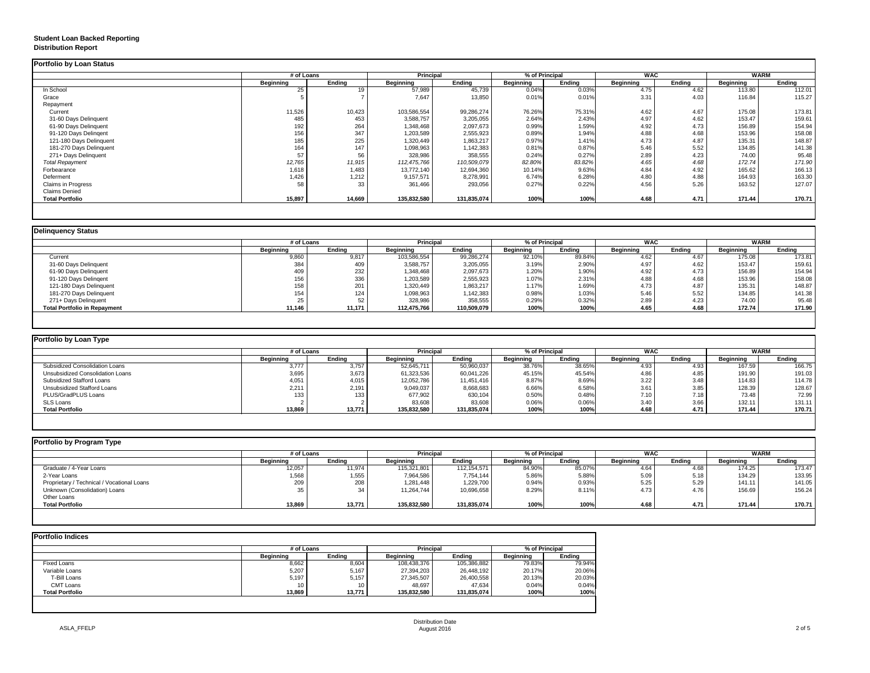## **Student Loan Backed Reporting Distribution Report**

## **Delinquency Status**

|                           | # of Loans       |               | <b>Principal</b> |               | % of Principal   |               | <b>WAC</b>       |               | <b>WARM</b>      |               |
|---------------------------|------------------|---------------|------------------|---------------|------------------|---------------|------------------|---------------|------------------|---------------|
|                           | <b>Beginning</b> | <b>Ending</b> | <b>Beginning</b> | <b>Ending</b> | <b>Beginning</b> | <b>Ending</b> | <b>Beginning</b> | <b>Ending</b> | <b>Beginning</b> | <b>Ending</b> |
| In School                 | 25               | 19            | 57,989           | 45,739        | 0.04%            | 0.03%         | 4.75             | 4.62          | 113.80           | 112.01        |
| Grace                     |                  |               | 7,647            | 13,850        | 0.01%            | 0.01%         | 3.31             | 4.03          | 116.84           | 115.27        |
| Repayment                 |                  |               |                  |               |                  |               |                  |               |                  |               |
| Current                   | 11,526           | 10,423        | 103,586,554      | 99,286,274    | 76.26%           | 75.31%        | 4.62             | 4.67          | 175.08           | 173.81        |
| 31-60 Days Delinquent     | 485              | 453           | 3,588,757        | 3,205,055     | 2.64%            | 2.43%         | 4.97             | 4.62          | 153.47           | 159.61        |
| 61-90 Days Delinquent     | 192              | 264           | 1,348,468        | 2,097,673     | 0.99%            | 1.59%         | 4.92             | 4.73          | 156.89           | 154.94        |
| 91-120 Days Delingent     | 156              | 347           | 1,203,589        | 2,555,923     | 0.89%            | 1.94%         | 4.88             | 4.68          | 153.96           | 158.08        |
| 121-180 Days Delinquent   | 185              | 225           | 1,320,449        | 1,863,217     | 0.97%            | 1.41%         | 4.73             | 4.87          | 135.31           | 148.87        |
| 181-270 Days Delinquent   | 164              | 147           | 1,098,963        | 1,142,383     | 0.81%            | 0.87%         | 5.46             | 5.52          | 134.85           | 141.38        |
| 271+ Days Delinquent      | 57               | 56            | 328,986          | 358,555       | 0.24%            | 0.27%         | 2.89             | 4.23          | 74.00            | 95.48         |
| <b>Total Repayment</b>    | 12,765           | 11,915        | 112,475,766      | 110,509,079   | 82.80%           | 83.82%        | 4.65             | 4.68          | 172.74           | 171.90        |
| Forbearance               | 1,618            | 1,483         | 13,772,140       | 12,694,360    | 10.14%           | 9.63%         | 4.84             | 4.92          | 165.62           | 166.13        |
| Deferment                 | 1,426            | 1,212         | 9,157,571        | 8,278,991     | 6.74%            | 6.28%         | 4.80             | 4.88          | 164.93           | 163.30        |
| <b>Claims in Progress</b> | 58               | 33            | 361,466          | 293,056       | 0.27%            | 0.22%         | 4.56             | 5.26          | 163.52           | 127.07        |
| <b>Claims Denied</b>      |                  |               |                  |               |                  |               |                  |               |                  |               |
| <b>Total Portfolio</b>    | 15,897           | 14,669        | 135,832,580      | 131,835,074   | 100%             | 100%          | 4.68             | 4.71          | 171.44           | 170.71        |

|                                     |                  | # of Loans    |                  | <b>Principal</b> |                  | % of Principal |                  | <b>WAC</b> |                  | <b>WARM</b>   |  |
|-------------------------------------|------------------|---------------|------------------|------------------|------------------|----------------|------------------|------------|------------------|---------------|--|
|                                     | <b>Beginning</b> | <b>Ending</b> | <b>Beginning</b> | <b>Ending</b>    | <b>Beginning</b> | <b>Ending</b>  | <b>Beginning</b> | Ending     | <b>Beginning</b> | <b>Ending</b> |  |
| Current                             | 9,860            | 9,817         | 103,586,554      | 99,286,274       | 92.10%           | 89.84%         | 4.62             | 4.67       | 175.08           | 173.81        |  |
| 31-60 Days Delinquent               | 384              | 409           | 3,588,757        | 3,205,055        | 3.19%            | 2.90%          | 4.97             | 4.62       | 153.47           | 159.61        |  |
| 61-90 Days Delinquent               | 409              | 232           | 1,348,468        | 2,097,673        | 1.20%            | 1.90%          | 4.92             | 4.73       | 156.89           | 154.94        |  |
| 91-120 Days Delingent               | 156              | 336           | 1,203,589        | 2,555,923        | 1.07%            | 2.31%          | 4.88             | 4.68       | 153.96           | 158.08        |  |
| 121-180 Days Delinquent             | 158              | 204<br>∠∪ i   | 1,320,449        | 1,863,217        | 1.17%            | 1.69%          | 4.73             | 4.87       | 135.31           | 148.87        |  |
| 181-270 Days Delinquent             | 154              | 124           | 1,098,963        | 1,142,383        | 0.98%            | 1.03%          | 5.46             | 5.52       | 134.85           | 141.38        |  |
| 271+ Days Delinquent                | 25               | 52            | 328,986          | 358,555          | 0.29%            | 0.32%          | 2.89             | 4.23       | 74.00            | 95.48         |  |
| <b>Total Portfolio in Repayment</b> | 11,146           | 11,171        | 112,475,766      | 110,509,079      | 100%             | 100%           | 4.65             | 4.68       | 172.74           | 171.90        |  |

| Portfolio by Loan Type                  |                  |                  |                  |               |                  |               |                  |        |                  |        |
|-----------------------------------------|------------------|------------------|------------------|---------------|------------------|---------------|------------------|--------|------------------|--------|
|                                         | # of Loans       |                  | <b>Principal</b> |               | % of Principal   |               | <b>WAC</b>       |        | <b>WARM</b>      |        |
|                                         | <b>Beginning</b> | <b>Ending</b>    | <b>Beginning</b> | <b>Ending</b> | <b>Beginning</b> | <b>Ending</b> | <b>Beginning</b> | Ending | <b>Beginning</b> | Ending |
| <b>Subsidized Consolidation Loans</b>   | 3,777            | 3,757            | 52,645,711       | 50,960,037    | 38.76%           | 38.65%        | 4.93             | 4.93   | 167.59           | 166.75 |
| <b>Unsubsidized Consolidation Loans</b> | 3,695            | 3,673            | 61,323,536       | 60,041,226    | 45.15%           | 45.54%        | 4.86             | 4.85   | 191.90           | 191.03 |
| <b>Subsidized Stafford Loans</b>        | 4,051            | 4,015            | 12,052,786       | 11,451,416    | 8.87%            | 8.69%         | 3.22             | 3.48   | 114.83           | 114.78 |
| <b>Unsubsidized Stafford Loans</b>      | 2,211            | 2,191            | 9,049,037        | 8,668,683     | 6.66%            | 6.58%         | 3.61             | 3.85   | 128.39           | 128.67 |
| <b>PLUS/GradPLUS Loans</b>              | 133              | 133 <sub>1</sub> | 677,902          | 630,104       | 0.50%            | 0.48%         | 7.10             | 7.18   | 73.48            | 72.99  |
| <b>SLS Loans</b>                        |                  |                  | 83,608           | 83,608        | 0.06%            | 0.06%         | 3.40             | 3.66   | 132.11           | 131.11 |
| <b>Total Portfolio</b>                  | 13,869           | 13,771           | 135,832,580      | 131,835,074   | 100%             | 100%          | 4.68             | 4.71   | 171.44           | 170.71 |

|                                            | # of Loans       |               | <b>Principal</b> |               | % of Principal   |               | <b>WAC</b>       |        | <b>WARM</b>      |               |
|--------------------------------------------|------------------|---------------|------------------|---------------|------------------|---------------|------------------|--------|------------------|---------------|
|                                            | <b>Beginning</b> | <b>Ending</b> | <b>Beginning</b> | <b>Ending</b> | <b>Beginning</b> | <b>Ending</b> | <b>Beginning</b> | Ending | <b>Beginning</b> | <b>Ending</b> |
| Graduate / 4-Year Loans                    | 12,057           | 11,974        | 115,321,801      | 112,154,571   | 84.90%           | 85.07%        | 4.64             | 4.68   | 174.25           | 173.47        |
| 2-Year Loans                               | 1,568            | 1,555         | 7,964,586        | 7,754,144     | 5.86%            | 5.88%         | 5.09             | 5.18   | 134.29           | 133.95        |
| Proprietary / Technical / Vocational Loans | 209              | 208           | 1,281,448        | 1,229,700     | 0.94%            | 0.93%         | 5.25             | 5.29   | 141.11           | 141.05        |
| Unknown (Consolidation) Loans              | 35               | 34            | 11,264,744       | 10,696,658    | 8.29%            | 8.11%         | 4.73             | 4.76   | 156.69           | 156.24        |
| Other Loans                                |                  |               |                  |               |                  |               |                  |        |                  |               |
| <b>Total Portfolio</b>                     | 13,869           | 13,771        | 135,832,580      | 131,835,074   | 100%             | 100%          | 4.68             | 4.71   | 171.44           | 170.71        |

| <b>Portfolio Indices</b> |                  |               |                  |                  |                  |               |
|--------------------------|------------------|---------------|------------------|------------------|------------------|---------------|
|                          |                  | # of Loans    |                  | <b>Principal</b> | % of Principal   |               |
|                          | <b>Beginning</b> | <b>Ending</b> | <b>Beginning</b> | <b>Ending</b>    | <b>Beginning</b> | <b>Ending</b> |
| <b>Fixed Loans</b>       | 8,662            | 8,604         | 108,438,376      | 105,386,882      | 79.83%           | 79.94%        |
| Variable Loans           | 5,207            | 5,167         | 27,394,203       | 26,448,192       | 20.17%           | 20.06%        |
| T-Bill Loans             | 5,197            | 5,157         | 27,345,507       | 26,400,558       | 20.13%           | 20.03%        |
| <b>CMT Loans</b>         | 10               | 10            | 48,697           | 47,634           | 0.04%            | 0.04%         |
| <b>Total Portfolio</b>   | 13,869           | 13,771        | 135,832,580      | 131,835,074      | 100%             | 100%          |
|                          |                  |               |                  |                  |                  |               |
|                          |                  |               |                  |                  |                  |               |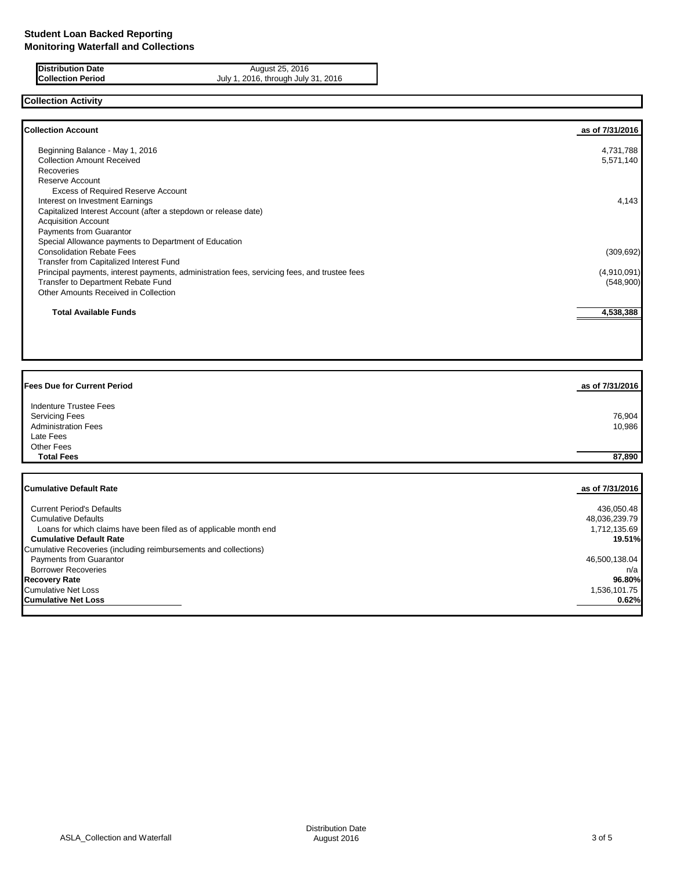**Distribution Date** August 25, 2016<br>**Collection Period Collection Period** July 1, 2016, through July 1 July 1, 2016, through July 31, 2016

# **Collection Activity**

| <b>Collection Account</b>                                                                    | as of 7/31/2016 |
|----------------------------------------------------------------------------------------------|-----------------|
| Beginning Balance - May 1, 2016                                                              | 4,731,788       |
| <b>Collection Amount Received</b>                                                            | 5,571,140       |
| <b>Recoveries</b>                                                                            |                 |
| Reserve Account                                                                              |                 |
| <b>Excess of Required Reserve Account</b>                                                    |                 |
| Interest on Investment Earnings                                                              | 4,143           |
| Capitalized Interest Account (after a stepdown or release date)                              |                 |
| <b>Acquisition Account</b>                                                                   |                 |
| <b>Payments from Guarantor</b>                                                               |                 |
| Special Allowance payments to Department of Education                                        |                 |
| <b>Consolidation Rebate Fees</b>                                                             | (309, 692)      |
| Transfer from Capitalized Interest Fund                                                      |                 |
| Principal payments, interest payments, administration fees, servicing fees, and trustee fees | (4,910,091)     |
| Transfer to Department Rebate Fund                                                           | (548,900)       |
| Other Amounts Received in Collection                                                         |                 |
| <b>Total Available Funds</b>                                                                 | 4,538,388       |

| <b>Fees Due for Current Period</b> | as of 7/31/2016 |
|------------------------------------|-----------------|
| <b>Indenture Trustee Fees</b>      |                 |
| <b>Servicing Fees</b>              | 76,904          |
| <b>Administration Fees</b>         | 10,986          |
| Late Fees                          |                 |
| Other Fees                         |                 |
| <b>Total Fees</b>                  | 87,890          |
|                                    |                 |
|                                    |                 |
| <b>Cumulative Default Rate</b>     | as of 7/31/2016 |

| <b>Current Period's Defaults</b>                                  | 436,050.48    |
|-------------------------------------------------------------------|---------------|
| <b>Cumulative Defaults</b>                                        | 48,036,239.79 |
| Loans for which claims have been filed as of applicable month end | 1,712,135.69  |
| <b>Cumulative Default Rate</b>                                    | 19.51%        |
| Cumulative Recoveries (including reimbursements and collections)  |               |
| <b>Payments from Guarantor</b>                                    | 46,500,138.04 |
| <b>Borrower Recoveries</b>                                        | n/a           |
| <b>Recovery Rate</b>                                              | 96.80%        |
| <b>Cumulative Net Loss</b>                                        | 1,536,101.75  |
| <b>Cumulative Net Loss</b>                                        | 0.62%         |
|                                                                   |               |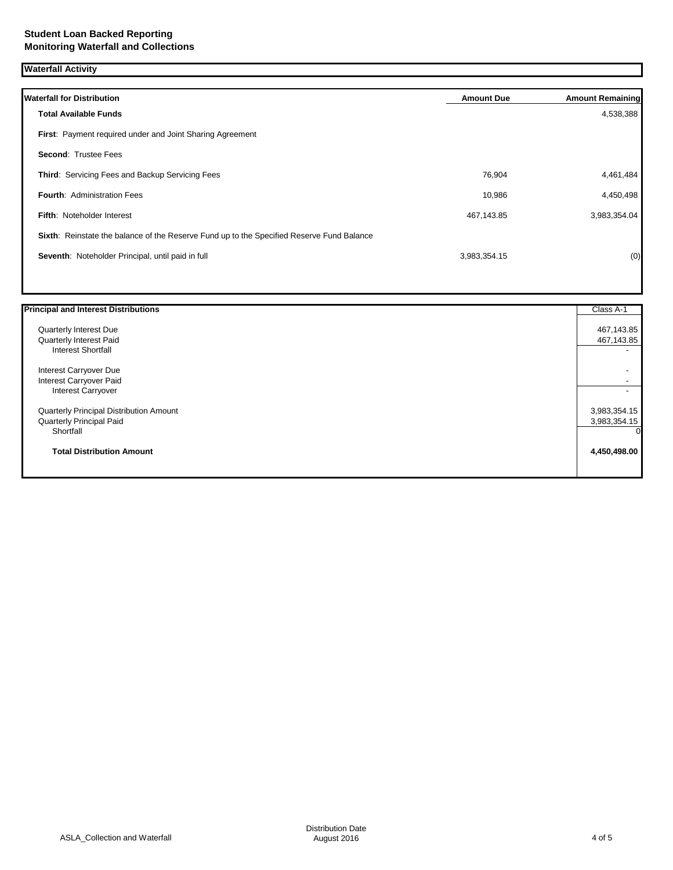**Waterfall Activity**

| <b>Waterfall for Distribution</b>                                                         | <b>Amount Due</b> | <b>Amount Remaining</b> |
|-------------------------------------------------------------------------------------------|-------------------|-------------------------|
| <b>Total Available Funds</b>                                                              |                   | 4,538,388               |
| First: Payment required under and Joint Sharing Agreement                                 |                   |                         |
| <b>Second: Trustee Fees</b>                                                               |                   |                         |
| Third: Servicing Fees and Backup Servicing Fees                                           | 76,904            | 4,461,484               |
| <b>Fourth: Administration Fees</b>                                                        | 10,986            | 4,450,498               |
| <b>Fifth: Noteholder Interest</b>                                                         | 467,143.85        | 3,983,354.04            |
| Sixth: Reinstate the balance of the Reserve Fund up to the Specified Reserve Fund Balance |                   |                         |
| Seventh: Noteholder Principal, until paid in full                                         | 3,983,354.15      | (0)                     |
|                                                                                           |                   |                         |

| <b>Principal and Interest Distributions</b> | Class A-1                |
|---------------------------------------------|--------------------------|
| Quarterly Interest Due                      | 467,143.85               |
| Quarterly Interest Paid                     | 467,143.85               |
| <b>Interest Shortfall</b>                   | $\overline{\phantom{a}}$ |
| Interest Carryover Due                      |                          |
| Interest Carryover Paid                     |                          |
| <b>Interest Carryover</b>                   |                          |
| Quarterly Principal Distribution Amount     | 3,983,354.15             |
| <b>Quarterly Principal Paid</b>             | 3,983,354.15             |
| Shortfall                                   | <sup>Ol</sup>            |
| <b>Total Distribution Amount</b>            | 4,450,498.00             |
|                                             |                          |